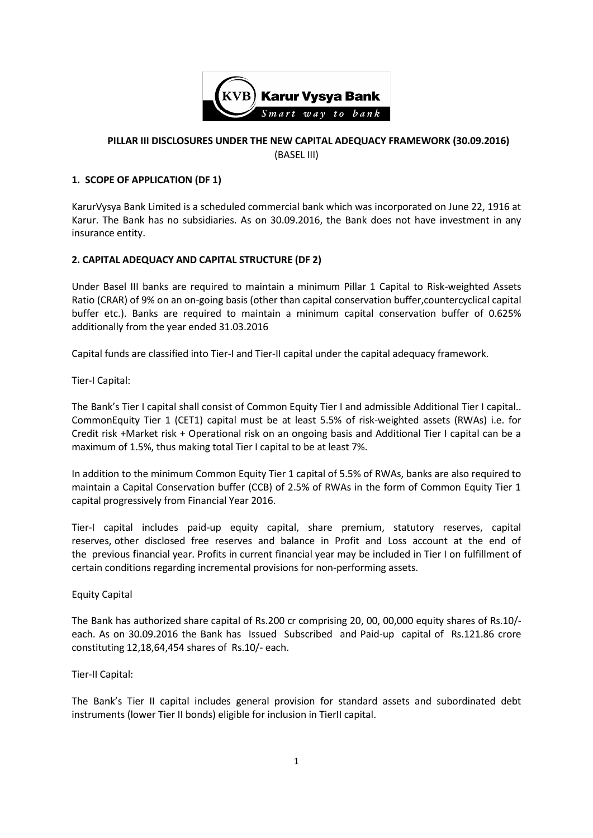

## **PILLAR III DISCLOSURES UNDER THE NEW CAPITAL ADEQUACY FRAMEWORK (30.09.2016)** (BASEL III)

# **1. SCOPE OF APPLICATION (DF 1)**

KarurVysya Bank Limited is a scheduled commercial bank which was incorporated on June 22, 1916 at Karur. The Bank has no subsidiaries. As on 30.09.2016, the Bank does not have investment in any insurance entity.

#### **2. CAPITAL ADEQUACY AND CAPITAL STRUCTURE (DF 2)**

Under Basel III banks are required to maintain a minimum Pillar 1 Capital to Risk-weighted Assets Ratio (CRAR) of 9% on an on-going basis (other than capital conservation buffer,countercyclical capital buffer etc.). Banks are required to maintain a minimum capital conservation buffer of 0.625% additionally from the year ended 31.03.2016

Capital funds are classified into Tier-I and Tier-II capital under the capital adequacy framework.

Tier-I Capital:

The Bank's Tier I capital shall consist of Common Equity Tier I and admissible Additional Tier I capital.. CommonEquity Tier 1 (CET1) capital must be at least 5.5% of risk-weighted assets (RWAs) i.e. for Credit risk +Market risk + Operational risk on an ongoing basis and Additional Tier I capital can be a maximum of 1.5%, thus making total Tier I capital to be at least 7%.

In addition to the minimum Common Equity Tier 1 capital of 5.5% of RWAs, banks are also required to maintain a Capital Conservation buffer (CCB) of 2.5% of RWAs in the form of Common Equity Tier 1 capital progressively from Financial Year 2016.

Tier-I capital includes paid-up equity capital, share premium, statutory reserves, capital reserves, other disclosed free reserves and balance in Profit and Loss account at the end of the previous financial year. Profits in current financial year may be included in Tier I on fulfillment of certain conditions regarding incremental provisions for non-performing assets.

#### Equity Capital

The Bank has authorized share capital of Rs.200 cr comprising 20, 00, 00,000 equity shares of Rs.10/ each. As on 30.09.2016 the Bank has Issued Subscribed and Paid-up capital of Rs.121.86 crore constituting 12,18,64,454 shares of Rs.10/- each.

#### Tier-II Capital:

The Bank's Tier II capital includes general provision for standard assets and subordinated debt instruments (lower Tier II bonds) eligible for inclusion in TierII capital.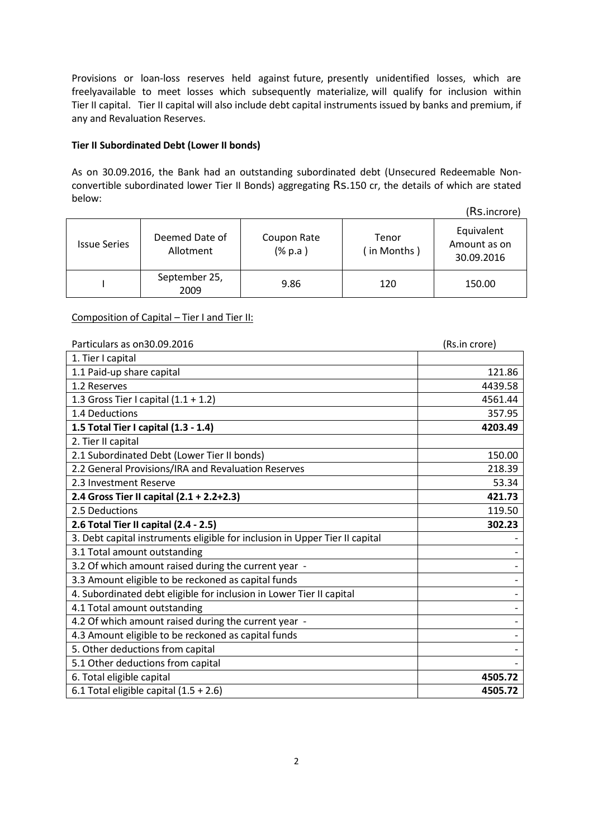Provisions or loan-loss reserves held against future, presently unidentified losses, which are freelyavailable to meet losses which subsequently materialize, will qualify for inclusion within Tier II capital. Tier II capital will also include debt capital instruments issued by banks and premium, if any and Revaluation Reserves.

#### **Tier II Subordinated Debt (Lower II bonds)**

As on 30.09.2016, the Bank had an outstanding subordinated debt (Unsecured Redeemable Nonconvertible subordinated lower Tier II Bonds) aggregating Rs.150 cr, the details of which are stated below:

(Rs.incrore)

| <b>Issue Series</b> | Deemed Date of<br>Allotment | Coupon Rate<br>$(% \mathbf{a})$ (% p.a) | Tenor<br>(in Months) | Equivalent<br>Amount as on<br>30.09.2016 |
|---------------------|-----------------------------|-----------------------------------------|----------------------|------------------------------------------|
|                     | September 25,<br>2009       | 9.86                                    | 120                  | 150.00                                   |

Composition of Capital – Tier I and Tier II:

| Particulars as on 30.09.2016                                                | (Rs.in crore) |  |  |
|-----------------------------------------------------------------------------|---------------|--|--|
| 1. Tier I capital                                                           |               |  |  |
| 1.1 Paid-up share capital                                                   | 121.86        |  |  |
| 1.2 Reserves                                                                | 4439.58       |  |  |
| 1.3 Gross Tier I capital $(1.1 + 1.2)$                                      | 4561.44       |  |  |
| 1.4 Deductions                                                              | 357.95        |  |  |
| 1.5 Total Tier I capital (1.3 - 1.4)                                        | 4203.49       |  |  |
| 2. Tier II capital                                                          |               |  |  |
| 2.1 Subordinated Debt (Lower Tier II bonds)                                 | 150.00        |  |  |
| 2.2 General Provisions/IRA and Revaluation Reserves                         | 218.39        |  |  |
| 2.3 Investment Reserve                                                      | 53.34         |  |  |
| 2.4 Gross Tier II capital (2.1 + 2.2+2.3)                                   | 421.73        |  |  |
| 2.5 Deductions                                                              | 119.50        |  |  |
| 2.6 Total Tier II capital (2.4 - 2.5)                                       | 302.23        |  |  |
| 3. Debt capital instruments eligible for inclusion in Upper Tier II capital |               |  |  |
| 3.1 Total amount outstanding                                                |               |  |  |
| 3.2 Of which amount raised during the current year -                        |               |  |  |
| 3.3 Amount eligible to be reckoned as capital funds                         |               |  |  |
| 4. Subordinated debt eligible for inclusion in Lower Tier II capital        |               |  |  |
| 4.1 Total amount outstanding                                                |               |  |  |
| 4.2 Of which amount raised during the current year -                        |               |  |  |
| 4.3 Amount eligible to be reckoned as capital funds                         |               |  |  |
| 5. Other deductions from capital                                            |               |  |  |
| 5.1 Other deductions from capital                                           |               |  |  |
| 6. Total eligible capital                                                   | 4505.72       |  |  |
| 6.1 Total eligible capital $(1.5 + 2.6)$                                    | 4505.72       |  |  |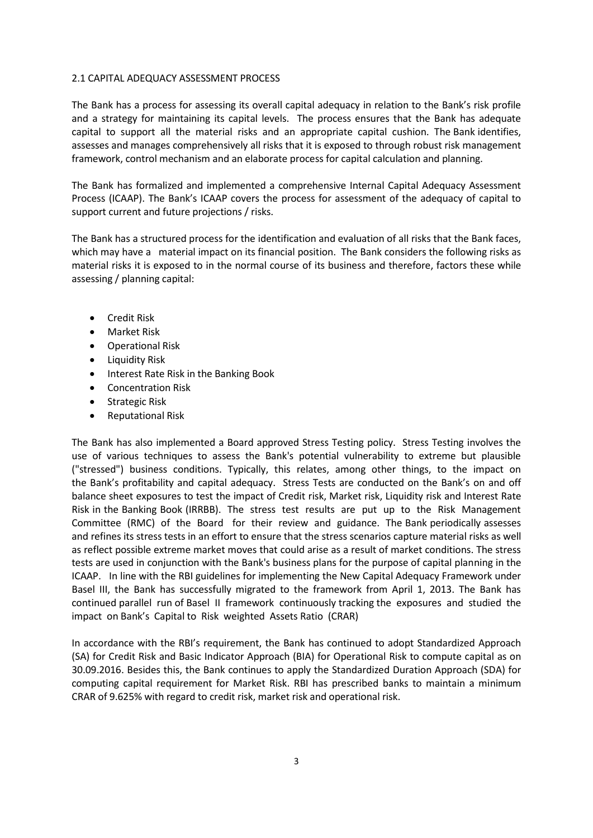#### 2.1 CAPITAL ADEQUACY ASSESSMENT PROCESS

The Bank has a process for assessing its overall capital adequacy in relation to the Bank's risk profile and a strategy for maintaining its capital levels. The process ensures that the Bank has adequate capital to support all the material risks and an appropriate capital cushion. The Bank identifies, assesses and manages comprehensively all risks that it is exposed to through robust risk management framework, control mechanism and an elaborate process for capital calculation and planning.

The Bank has formalized and implemented a comprehensive Internal Capital Adequacy Assessment Process (ICAAP). The Bank's ICAAP covers the process for assessment of the adequacy of capital to support current and future projections / risks.

The Bank has a structured process for the identification and evaluation of all risks that the Bank faces, which may have a material impact on its financial position. The Bank considers the following risks as material risks it is exposed to in the normal course of its business and therefore, factors these while assessing / planning capital:

- **•** Credit Risk
- Market Risk
- Operational Risk
- Liquidity Risk
- Interest Rate Risk in the Banking Book
- Concentration Risk
- Strategic Risk
- Reputational Risk

The Bank has also implemented a Board approved Stress Testing policy. Stress Testing involves the use of various techniques to assess the Bank's potential vulnerability to extreme but plausible ("stressed") business conditions. Typically, this relates, among other things, to the impact on the Bank's profitability and capital adequacy. Stress Tests are conducted on the Bank's on and off balance sheet exposures to test the impact of Credit risk, Market risk, Liquidity risk and Interest Rate Risk in the Banking Book (IRRBB). The stress test results are put up to the Risk Management Committee (RMC) of the Board for their review and guidance. The Bank periodically assesses and refines its stress tests in an effort to ensure that the stress scenarios capture material risks as well as reflect possible extreme market moves that could arise as a result of market conditions. The stress tests are used in conjunction with the Bank's business plans for the purpose of capital planning in the ICAAP. In line with the RBI guidelines for implementing the New Capital Adequacy Framework under Basel III, the Bank has successfully migrated to the framework from April 1, 2013. The Bank has continued parallel run of Basel II framework continuously tracking the exposures and studied the impact on Bank's Capital to Risk weighted Assets Ratio (CRAR)

In accordance with the RBI's requirement, the Bank has continued to adopt Standardized Approach (SA) for Credit Risk and Basic Indicator Approach (BIA) for Operational Risk to compute capital as on 30.09.2016. Besides this, the Bank continues to apply the Standardized Duration Approach (SDA) for computing capital requirement for Market Risk. RBI has prescribed banks to maintain a minimum CRAR of 9.625% with regard to credit risk, market risk and operational risk.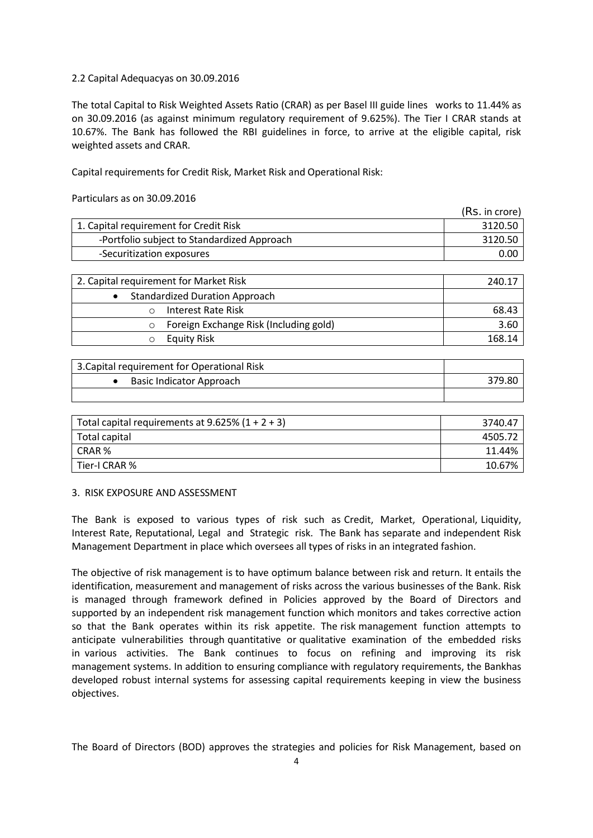#### 2.2 Capital Adequacyas on 30.09.2016

The total Capital to Risk Weighted Assets Ratio (CRAR) as per Basel III guide lines works to 11.44% as on 30.09.2016 (as against minimum regulatory requirement of 9.625%). The Tier I CRAR stands at 10.67%. The Bank has followed the RBI guidelines in force, to arrive at the eligible capital, risk weighted assets and CRAR.

Capital requirements for Credit Risk, Market Risk and Operational Risk:

Particulars as on 30.09.2016

|                                                    | ,,,,,,,,,,,,,,, |
|----------------------------------------------------|-----------------|
| 1. Capital requirement for Credit Risk             | 3120.50         |
| -Portfolio subject to Standardized Approach        | 3120.50         |
| -Securitization exposures                          | 0.00            |
|                                                    |                 |
| 2. Capital requirement for Market Risk             | 240.17          |
| <b>Standardized Duration Approach</b><br>$\bullet$ |                 |
| <b>Interest Rate Risk</b>                          | 68.43           |
| Foreign Exchange Risk (Including gold)             | 3.60            |

 $(Re \text{ in } error)$ 

| 3. Capital requirement for Operational Risk |        |
|---------------------------------------------|--------|
| Basic Indicator Approach                    | 379.80 |
|                                             |        |

o Equity Risk 168.14

| Total capital requirements at 9.625% $(1 + 2 + 3)$ | 3740.47 |
|----------------------------------------------------|---------|
| Total capital                                      | 4505.72 |
| CRAR %                                             | 11.44%  |
| Tier-I CRAR %                                      | 10.67%  |

#### 3. RISK EXPOSURE AND ASSESSMENT

The Bank is exposed to various types of risk such as Credit, Market, Operational, Liquidity, Interest Rate, Reputational, Legal and Strategic risk. The Bank has separate and independent Risk Management Department in place which oversees all types of risks in an integrated fashion.

The objective of risk management is to have optimum balance between risk and return. It entails the identification, measurement and management of risks across the various businesses of the Bank. Risk is managed through framework defined in Policies approved by the Board of Directors and supported by an independent risk management function which monitors and takes corrective action so that the Bank operates within its risk appetite. The risk management function attempts to anticipate vulnerabilities through quantitative or qualitative examination of the embedded risks in various activities. The Bank continues to focus on refining and improving its risk management systems. In addition to ensuring compliance with regulatory requirements, the Bankhas developed robust internal systems for assessing capital requirements keeping in view the business objectives.

The Board of Directors (BOD) approves the strategies and policies for Risk Management, based on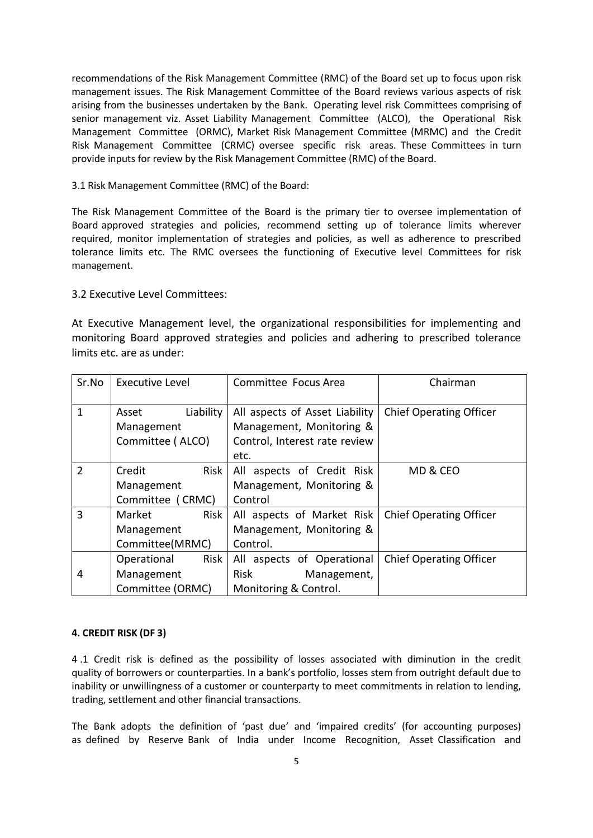recommendations of the Risk Management Committee (RMC) of the Board set up to focus upon risk management issues. The Risk Management Committee of the Board reviews various aspects of risk arising from the businesses undertaken by the Bank. Operating level risk Committees comprising of senior management viz. Asset Liability Management Committee (ALCO), the Operational Risk Management Committee (ORMC), Market Risk Management Committee (MRMC) and the Credit Risk Management Committee (CRMC) oversee specific risk areas. These Committees in turn provide inputs for review by the Risk Management Committee (RMC) of the Board.

3.1 Risk Management Committee (RMC) of the Board:

The Risk Management Committee of the Board is the primary tier to oversee implementation of Board approved strategies and policies, recommend setting up of tolerance limits wherever required, monitor implementation of strategies and policies, as well as adherence to prescribed tolerance limits etc. The RMC oversees the functioning of Executive level Committees for risk management.

#### 3.2 Executive Level Committees:

At Executive Management level, the organizational responsibilities for implementing and monitoring Board approved strategies and policies and adhering to prescribed tolerance limits etc. are as under:

| Sr.No         | <b>Executive Level</b> | Committee Focus Area           | Chairman                       |
|---------------|------------------------|--------------------------------|--------------------------------|
| 1             | Liability<br>Asset     | All aspects of Asset Liability | <b>Chief Operating Officer</b> |
|               | Management             | Management, Monitoring &       |                                |
|               | Committee (ALCO)       | Control, Interest rate review  |                                |
|               |                        | etc.                           |                                |
| $\mathcal{P}$ | Risk<br>Credit         | All aspects of Credit Risk     | MD & CEO                       |
|               | Management             | Management, Monitoring &       |                                |
|               | Committee (CRMC)       | Control                        |                                |
| 3             | Risk<br>Market         | All aspects of Market Risk     | <b>Chief Operating Officer</b> |
|               | Management             | Management, Monitoring &       |                                |
|               | Committee(MRMC)        | Control.                       |                                |
|               | Risk<br>Operational    | All aspects of Operational     | <b>Chief Operating Officer</b> |
| 4             | Management             | Risk<br>Management,            |                                |
|               | Committee (ORMC)       | Monitoring & Control.          |                                |

#### **4. CREDIT RISK (DF 3)**

4 .1 Credit risk is defined as the possibility of losses associated with diminution in the credit quality of borrowers or counterparties. In a bank's portfolio, losses stem from outright default due to inability or unwillingness of a customer or counterparty to meet commitments in relation to lending, trading, settlement and other financial transactions.

The Bank adopts the definition of 'past due' and 'impaired credits' (for accounting purposes) as defined by Reserve Bank of India under Income Recognition, Asset Classification and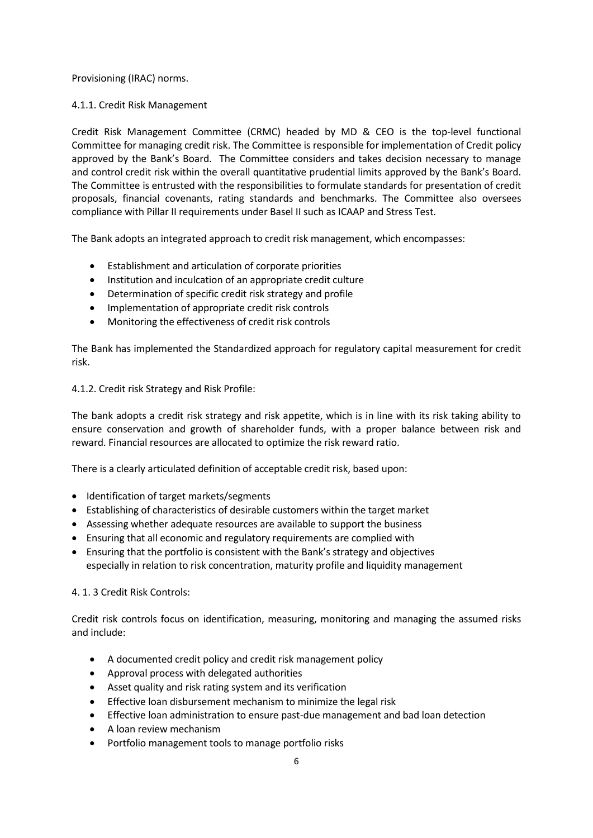Provisioning (IRAC) norms.

## 4.1.1. Credit Risk Management

Credit Risk Management Committee (CRMC) headed by MD & CEO is the top-level functional Committee for managing credit risk. The Committee is responsible for implementation of Credit policy approved by the Bank's Board. The Committee considers and takes decision necessary to manage and control credit risk within the overall quantitative prudential limits approved by the Bank's Board. The Committee is entrusted with the responsibilities to formulate standards for presentation of credit proposals, financial covenants, rating standards and benchmarks. The Committee also oversees compliance with Pillar II requirements under Basel II such as ICAAP and Stress Test.

The Bank adopts an integrated approach to credit risk management, which encompasses:

- Establishment and articulation of corporate priorities
- Institution and inculcation of an appropriate credit culture
- Determination of specific credit risk strategy and profile
- Implementation of appropriate credit risk controls
- Monitoring the effectiveness of credit risk controls

The Bank has implemented the Standardized approach for regulatory capital measurement for credit risk.

#### 4.1.2. Credit risk Strategy and Risk Profile:

The bank adopts a credit risk strategy and risk appetite, which is in line with its risk taking ability to ensure conservation and growth of shareholder funds, with a proper balance between risk and reward. Financial resources are allocated to optimize the risk reward ratio.

There is a clearly articulated definition of acceptable credit risk, based upon:

- Identification of target markets/segments
- Establishing of characteristics of desirable customers within the target market
- Assessing whether adequate resources are available to support the business
- Ensuring that all economic and regulatory requirements are complied with
- Ensuring that the portfolio is consistent with the Bank's strategy and objectives especially in relation to risk concentration, maturity profile and liquidity management

#### 4. 1. 3 Credit Risk Controls:

Credit risk controls focus on identification, measuring, monitoring and managing the assumed risks and include:

- A documented credit policy and credit risk management policy
- Approval process with delegated authorities
- Asset quality and risk rating system and its verification
- Effective loan disbursement mechanism to minimize the legal risk
- Effective loan administration to ensure past-due management and bad loan detection
- A loan review mechanism
- Portfolio management tools to manage portfolio risks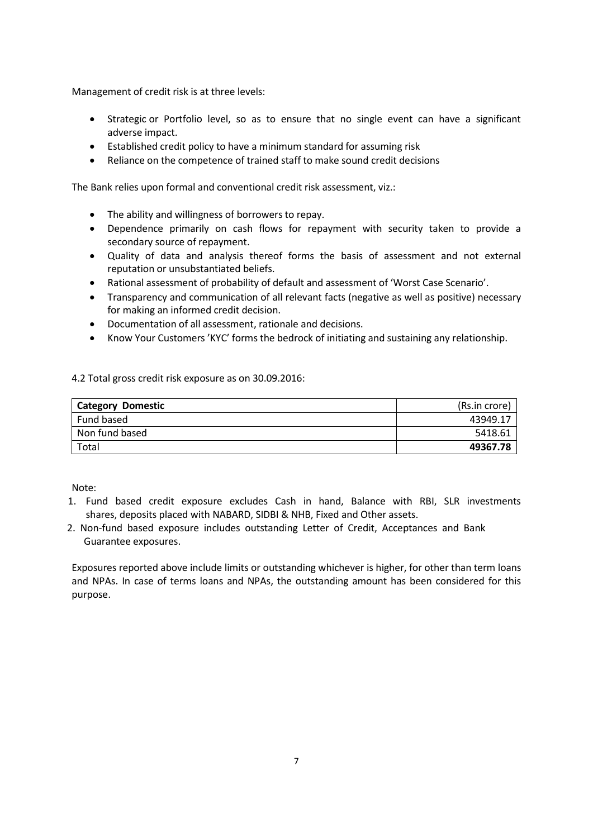Management of credit risk is at three levels:

- Strategic or Portfolio level, so as to ensure that no single event can have a significant adverse impact.
- Established credit policy to have a minimum standard for assuming risk
- Reliance on the competence of trained staff to make sound credit decisions

The Bank relies upon formal and conventional credit risk assessment, viz.:

- The ability and willingness of borrowers to repay.
- Dependence primarily on cash flows for repayment with security taken to provide a secondary source of repayment.
- Quality of data and analysis thereof forms the basis of assessment and not external reputation or unsubstantiated beliefs.
- Rational assessment of probability of default and assessment of 'Worst Case Scenario'.
- Transparency and communication of all relevant facts (negative as well as positive) necessary for making an informed credit decision.
- Documentation of all assessment, rationale and decisions.
- Know Your Customers 'KYC' forms the bedrock of initiating and sustaining any relationship.

4.2 Total gross credit risk exposure as on 30.09.2016:

| <b>Category Domestic</b> | (Rs.in crore) |
|--------------------------|---------------|
| Fund based               | 43949.17      |
| Non fund based           | 5418.61       |
| Total                    | 49367.78      |

Note:

- 1. Fund based credit exposure excludes Cash in hand, Balance with RBI, SLR investments shares, deposits placed with NABARD, SIDBI & NHB, Fixed and Other assets.
- 2. Non-fund based exposure includes outstanding Letter of Credit, Acceptances and Bank Guarantee exposures.

Exposures reported above include limits or outstanding whichever is higher, for other than term loans and NPAs. In case of terms loans and NPAs, the outstanding amount has been considered for this purpose.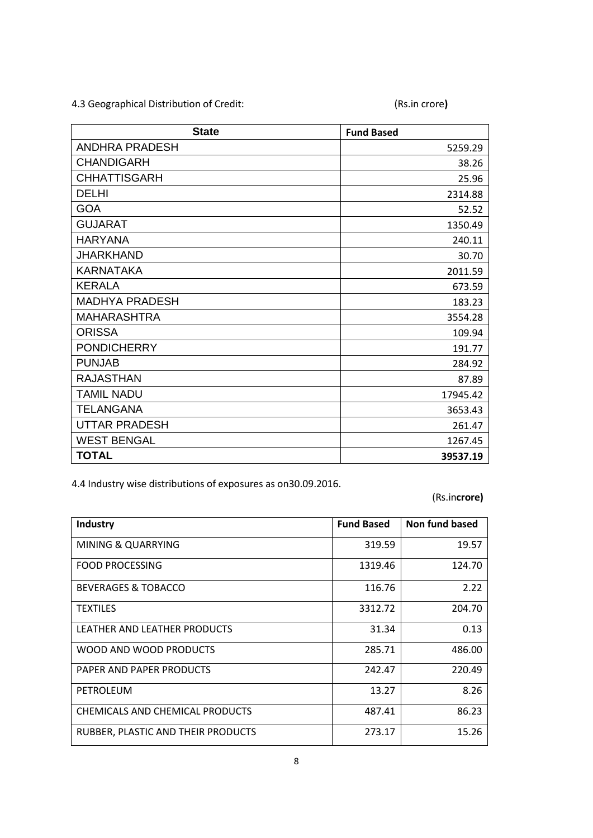4.3 Geographical Distribution of Credit: (Rs.in crore**)**

| <b>State</b>          | <b>Fund Based</b> |
|-----------------------|-------------------|
| <b>ANDHRA PRADESH</b> | 5259.29           |
| <b>CHANDIGARH</b>     | 38.26             |
| <b>CHHATTISGARH</b>   | 25.96             |
| <b>DELHI</b>          | 2314.88           |
| <b>GOA</b>            | 52.52             |
| <b>GUJARAT</b>        | 1350.49           |
| <b>HARYANA</b>        | 240.11            |
| <b>JHARKHAND</b>      | 30.70             |
| <b>KARNATAKA</b>      | 2011.59           |
| <b>KERALA</b>         | 673.59            |
| <b>MADHYA PRADESH</b> | 183.23            |
| <b>MAHARASHTRA</b>    | 3554.28           |
| <b>ORISSA</b>         | 109.94            |
| <b>PONDICHERRY</b>    | 191.77            |
| <b>PUNJAB</b>         | 284.92            |
| <b>RAJASTHAN</b>      | 87.89             |
| <b>TAMIL NADU</b>     | 17945.42          |
| <b>TELANGANA</b>      | 3653.43           |
| <b>UTTAR PRADESH</b>  | 261.47            |
| <b>WEST BENGAL</b>    | 1267.45           |
| <b>TOTAL</b>          | 39537.19          |

4.4 Industry wise distributions of exposures as on30.09.2016.

(Rs.in**crore)**

| Industry                           | <b>Fund Based</b> | Non fund based |
|------------------------------------|-------------------|----------------|
| <b>MINING &amp; QUARRYING</b>      | 319.59            | 19.57          |
| <b>FOOD PROCESSING</b>             | 1319.46           | 124.70         |
| <b>BEVERAGES &amp; TOBACCO</b>     | 116.76            | 2.22           |
| <b>TEXTILES</b>                    | 3312.72           | 204.70         |
| LEATHER AND LEATHER PRODUCTS       | 31.34             | 0.13           |
| WOOD AND WOOD PRODUCTS             | 285.71            | 486.00         |
| PAPER AND PAPER PRODUCTS           | 242.47            | 220.49         |
| PETROLEUM                          | 13.27             | 8.26           |
| CHEMICALS AND CHEMICAL PRODUCTS    | 487.41            | 86.23          |
| RUBBER, PLASTIC AND THEIR PRODUCTS | 273.17            | 15.26          |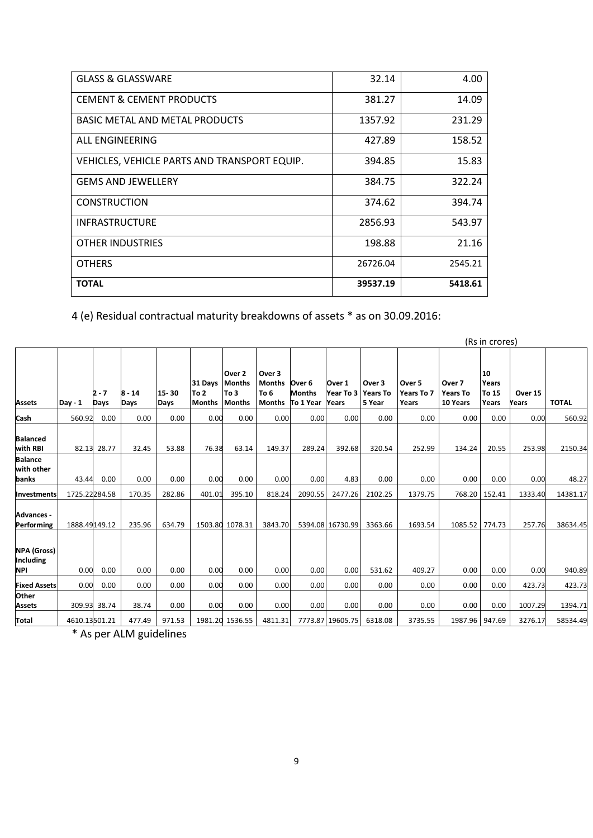| <b>GLASS &amp; GLASSWARE</b>                 | 32.14    | 4.00    |
|----------------------------------------------|----------|---------|
| <b>CEMENT &amp; CEMENT PRODUCTS</b>          | 381.27   | 14.09   |
| <b>BASIC METAL AND METAL PRODUCTS</b>        | 1357.92  | 231.29  |
| ALL ENGINEERING                              | 427.89   | 158.52  |
| VEHICLES, VEHICLE PARTS AND TRANSPORT EQUIP. | 394.85   | 15.83   |
| <b>GEMS AND JEWELLERY</b>                    | 384.75   | 322.24  |
| <b>CONSTRUCTION</b>                          | 374.62   | 394.74  |
| <b>INFRASTRUCTURE</b>                        | 2856.93  | 543.97  |
| <b>OTHER INDUSTRIES</b>                      | 198.88   | 21.16   |
| <b>OTHERS</b>                                | 26726.04 | 2545.21 |
| <b>TOTAL</b>                                 | 39537.19 | 5418.61 |

4 (e) Residual contractual maturity breakdowns of assets \* as on 30.09.2016:

|                                               |               |               |                  |               |                                  |                                                  |                                           |                                      |                              |                                     |                               |                                       | (Rs in crores)                |                  |              |
|-----------------------------------------------|---------------|---------------|------------------|---------------|----------------------------------|--------------------------------------------------|-------------------------------------------|--------------------------------------|------------------------------|-------------------------------------|-------------------------------|---------------------------------------|-------------------------------|------------------|--------------|
| <b>Assets</b>                                 | $Day - 1$     | 2 - 7<br>Days | $8 - 14$<br>Days | 15 30<br>Days | 31 Days<br>To 2<br><b>Months</b> | Over 2<br><b>Months</b><br>To 3<br><b>Months</b> | Over 3<br><b>Months</b><br>To 6<br>Months | Over 6<br><b>Months</b><br>To 1 Year | Over 1<br>Year To 3<br>Years | Over 3<br><b>Years To</b><br>5 Year | Over 5<br>Years To 7<br>Years | Over 7<br><b>Years To</b><br>10 Years | 10<br>Years<br>To 15<br>Years | Over 15<br>Years | <b>TOTAL</b> |
| Cash                                          | 560.92        | 0.00          | 0.00             | 0.00          | 0.00                             | 0.00                                             | 0.00                                      | 0.00                                 | 0.00                         | 0.00                                | 0.00                          | 0.00                                  | 0.00                          | 0.00             | 560.92       |
| <b>Balanced</b><br>with RBI                   |               | 82.13 28.77   | 32.45            | 53.88         | 76.38                            | 63.14                                            | 149.37                                    | 289.24                               | 392.68                       | 320.54                              | 252.99                        | 134.24                                | 20.55                         | 253.98           | 2150.34      |
| <b>Balance</b><br>with other<br>banks         | 43.44         | 0.00          | 0.00             | 0.00          | 0.00                             | 0.00                                             | 0.00                                      | 0.00                                 | 4.83                         | 0.00                                | 0.00                          | 0.00                                  | 0.00                          | 0.00             | 48.27        |
| Investments                                   | 1725.22284.58 |               | 170.35           | 282.86        | 401.01                           | 395.10                                           | 818.24                                    | 2090.55                              | 2477.26                      | 2102.25                             | 1379.75                       | 768.20                                | 152.41                        | 1333.40          | 14381.17     |
| <b>Advances -</b><br>Performing               | 1888.49149.12 |               | 235.96           | 634.79        |                                  | 1503.80 1078.31                                  | 3843.70                                   |                                      | 5394.08 16730.99             | 3363.66                             | 1693.54                       | 1085.52 774.73                        |                               | 257.76           | 38634.45     |
| <b>NPA (Gross)</b><br>Including<br><b>NPI</b> | 0.00          | 0.00          | 0.00             | 0.00          | 0.00                             | 0.00                                             | 0.00                                      | 0.00                                 | 0.00                         | 531.62                              | 409.27                        | 0.00                                  | 0.00                          | 0.00             | 940.89       |
| <b>Fixed Assets</b>                           | 0.00          | 0.00          | 0.00             | 0.00          | 0.00                             | 0.00                                             | 0.00                                      | 0.00                                 | 0.00                         | 0.00                                | 0.00                          | 0.00                                  | 0.00                          | 423.73           | 423.73       |
| Other<br><b>Assets</b>                        |               | 309.93 38.74  | 38.74            | 0.00          | 0.00                             | 0.00                                             | 0.00                                      | 0.00                                 | 0.00                         | 0.00                                | 0.00                          | 0.00                                  | 0.00                          | 1007.29          | 1394.71      |
| Total                                         | 4610.13501.21 |               | 477.49           | 971.53        |                                  | 1981.20 1536.55                                  | 4811.31                                   |                                      | 7773.87 19605.75             | 6318.08                             | 3735.55                       | 1987.96 947.69                        |                               | 3276.17          | 58534.49     |

\* As per ALM guidelines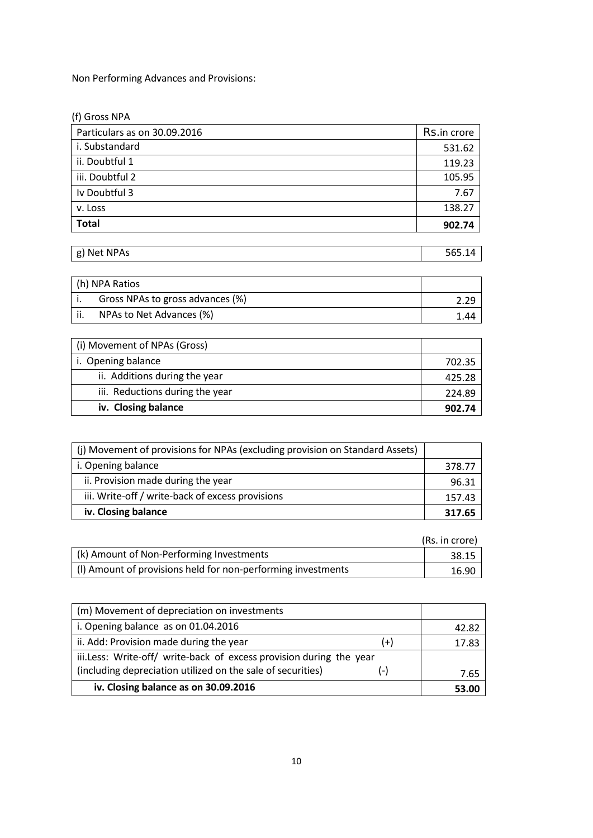Non Performing Advances and Provisions:

| (f) Gross NPA                |             |
|------------------------------|-------------|
| Particulars as on 30.09.2016 | Rs.in crore |
| i. Substandard               | 531.62      |
| ii. Doubtful 1               | 119.23      |
| iii. Doubtful 2              | 105.95      |
| Iv Doubtful 3                | 7.67        |
| v. Loss                      | 138.27      |
| <b>Total</b>                 | 902.74      |

| <b>NPAs</b><br>Net<br>$\sigma$<br>- 12<br>יס | $-$ |
|----------------------------------------------|-----|

| h) NPA Ratios                    |      |
|----------------------------------|------|
| Gross NPAs to gross advances (%) |      |
| NPAs to Net Advances (%)         | . 44 |

| (i) Movement of NPAs (Gross)    |        |
|---------------------------------|--------|
| i. Opening balance              | 702.35 |
| ii. Additions during the year   | 425.28 |
| iii. Reductions during the year | 224.89 |
| iv. Closing balance             | 902.74 |

| (j) Movement of provisions for NPAs (excluding provision on Standard Assets) |        |
|------------------------------------------------------------------------------|--------|
| i. Opening balance                                                           | 378.77 |
| ii. Provision made during the year                                           | 96.31  |
| iii. Write-off / write-back of excess provisions                             | 157.43 |
| iv. Closing balance                                                          | 317.65 |

|                                                              | (Rs. in crore) |
|--------------------------------------------------------------|----------------|
| (k) Amount of Non-Performing Investments                     | 38.15          |
| (I) Amount of provisions held for non-performing investments | 16.90          |

| (m) Movement of depreciation on investments                         |       |       |
|---------------------------------------------------------------------|-------|-------|
| i. Opening balance as on 01.04.2016                                 |       | 42.82 |
| ii. Add: Provision made during the year                             | $(+)$ | 17.83 |
| iii.Less: Write-off/ write-back of excess provision during the year |       |       |
| (including depreciation utilized on the sale of securities)         | $(-)$ | 7.65  |
| iv. Closing balance as on 30.09.2016                                |       | 53.00 |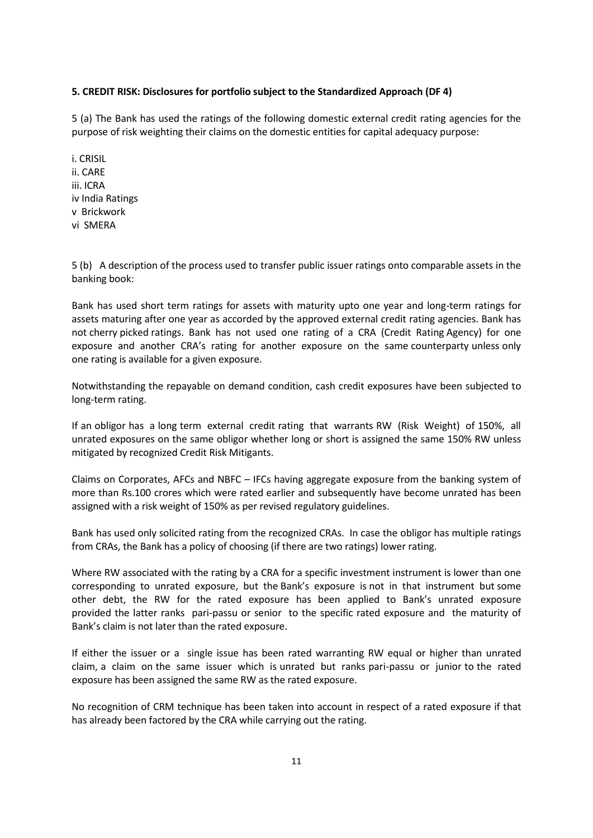#### **5. CREDIT RISK: Disclosures for portfolio subject to the Standardized Approach (DF 4)**

5 (a) The Bank has used the ratings of the following domestic external credit rating agencies for the purpose of risk weighting their claims on the domestic entities for capital adequacy purpose:

i. CRISIL ii. CARE iii. ICRA iv India Ratings v Brickwork vi SMERA

5 (b) A description of the process used to transfer public issuer ratings onto comparable assets in the banking book:

Bank has used short term ratings for assets with maturity upto one year and long-term ratings for assets maturing after one year as accorded by the approved external credit rating agencies. Bank has not cherry picked ratings. Bank has not used one rating of a CRA (Credit Rating Agency) for one exposure and another CRA's rating for another exposure on the same counterparty unless only one rating is available for a given exposure.

Notwithstanding the repayable on demand condition, cash credit exposures have been subjected to long-term rating.

If an obligor has a long term external credit rating that warrants RW (Risk Weight) of 150%, all unrated exposures on the same obligor whether long or short is assigned the same 150% RW unless mitigated by recognized Credit Risk Mitigants.

Claims on Corporates, AFCs and NBFC – IFCs having aggregate exposure from the banking system of more than Rs.100 crores which were rated earlier and subsequently have become unrated has been assigned with a risk weight of 150% as per revised regulatory guidelines.

Bank has used only solicited rating from the recognized CRAs. In case the obligor has multiple ratings from CRAs, the Bank has a policy of choosing (if there are two ratings) lower rating.

Where RW associated with the rating by a CRA for a specific investment instrument is lower than one corresponding to unrated exposure, but the Bank's exposure is not in that instrument but some other debt, the RW for the rated exposure has been applied to Bank's unrated exposure provided the latter ranks pari-passu or senior to the specific rated exposure and the maturity of Bank's claim is not later than the rated exposure.

If either the issuer or a single issue has been rated warranting RW equal or higher than unrated claim, a claim on the same issuer which is unrated but ranks pari-passu or junior to the rated exposure has been assigned the same RW as the rated exposure.

No recognition of CRM technique has been taken into account in respect of a rated exposure if that has already been factored by the CRA while carrying out the rating.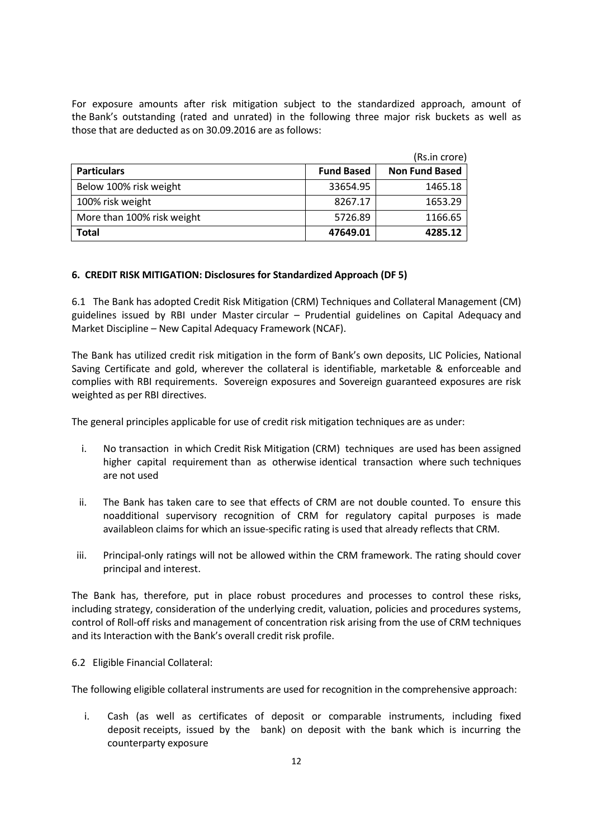For exposure amounts after risk mitigation subject to the standardized approach, amount of the Bank's outstanding (rated and unrated) in the following three major risk buckets as well as those that are deducted as on 30.09.2016 are as follows:

|                            |                   | (Rs.in crore)         |
|----------------------------|-------------------|-----------------------|
| <b>Particulars</b>         | <b>Fund Based</b> | <b>Non Fund Based</b> |
| Below 100% risk weight     | 33654.95          | 1465.18               |
| 100% risk weight           | 8267.17           | 1653.29               |
| More than 100% risk weight | 5726.89           | 1166.65               |
| <b>Total</b>               | 47649.01          | 4285.12               |

#### **6. CREDIT RISK MITIGATION: Disclosures for Standardized Approach (DF 5)**

6.1 The Bank has adopted Credit Risk Mitigation (CRM) Techniques and Collateral Management (CM) guidelines issued by RBI under Master circular – Prudential guidelines on Capital Adequacy and Market Discipline – New Capital Adequacy Framework (NCAF).

The Bank has utilized credit risk mitigation in the form of Bank's own deposits, LIC Policies, National Saving Certificate and gold, wherever the collateral is identifiable, marketable & enforceable and complies with RBI requirements. Sovereign exposures and Sovereign guaranteed exposures are risk weighted as per RBI directives.

The general principles applicable for use of credit risk mitigation techniques are as under:

- i. No transaction in which Credit Risk Mitigation (CRM) techniques are used has been assigned higher capital requirement than as otherwise identical transaction where such techniques are not used
- ii. The Bank has taken care to see that effects of CRM are not double counted. To ensure this noadditional supervisory recognition of CRM for regulatory capital purposes is made availableon claims for which an issue-specific rating is used that already reflects that CRM.
- iii. Principal-only ratings will not be allowed within the CRM framework. The rating should cover principal and interest.

The Bank has, therefore, put in place robust procedures and processes to control these risks, including strategy, consideration of the underlying credit, valuation, policies and procedures systems, control of Roll-off risks and management of concentration risk arising from the use of CRM techniques and its Interaction with the Bank's overall credit risk profile.

6.2 Eligible Financial Collateral:

The following eligible collateral instruments are used for recognition in the comprehensive approach:

i. Cash (as well as certificates of deposit or comparable instruments, including fixed deposit receipts, issued by the bank) on deposit with the bank which is incurring the counterparty exposure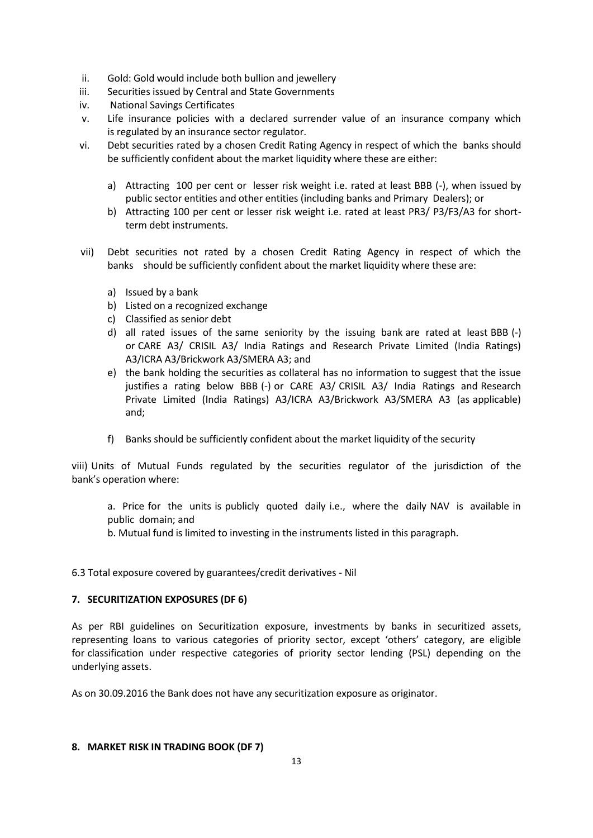- ii. Gold: Gold would include both bullion and jewellery
- iii. Securities issued by Central and State Governments
- iv. National Savings Certificates
- v. Life insurance policies with a declared surrender value of an insurance company which is regulated by an insurance sector regulator.
- vi. Debt securities rated by a chosen Credit Rating Agency in respect of which the banks should be sufficiently confident about the market liquidity where these are either:
	- a) Attracting 100 per cent or lesser risk weight i.e. rated at least BBB (-), when issued by public sector entities and other entities (including banks and Primary Dealers); or
	- b) Attracting 100 per cent or lesser risk weight i.e. rated at least PR3/ P3/F3/A3 for shortterm debt instruments.
- vii) Debt securities not rated by a chosen Credit Rating Agency in respect of which the banks should be sufficiently confident about the market liquidity where these are:
	- a) Issued by a bank
	- b) Listed on a recognized exchange
	- c) Classified as senior debt
	- d) all rated issues of the same seniority by the issuing bank are rated at least BBB (-) or CARE A3/ CRISIL A3/ India Ratings and Research Private Limited (India Ratings) A3/ICRA A3/Brickwork A3/SMERA A3; and
	- e) the bank holding the securities as collateral has no information to suggest that the issue justifies a rating below BBB (-) or CARE A3/ CRISIL A3/ India Ratings and Research Private Limited (India Ratings) A3/ICRA A3/Brickwork A3/SMERA A3 (as applicable) and;
	- f) Banks should be sufficiently confident about the market liquidity of the security

viii) Units of Mutual Funds regulated by the securities regulator of the jurisdiction of the bank's operation where:

a. Price for the units is publicly quoted daily i.e., where the daily NAV is available in public domain; and

b. Mutual fund is limited to investing in the instruments listed in this paragraph.

6.3 Total exposure covered by guarantees/credit derivatives - Nil

# **7. SECURITIZATION EXPOSURES (DF 6)**

As per RBI guidelines on Securitization exposure, investments by banks in securitized assets, representing loans to various categories of priority sector, except 'others' category, are eligible for classification under respective categories of priority sector lending (PSL) depending on the underlying assets.

As on 30.09.2016 the Bank does not have any securitization exposure as originator.

#### **8. MARKET RISK IN TRADING BOOK (DF 7)**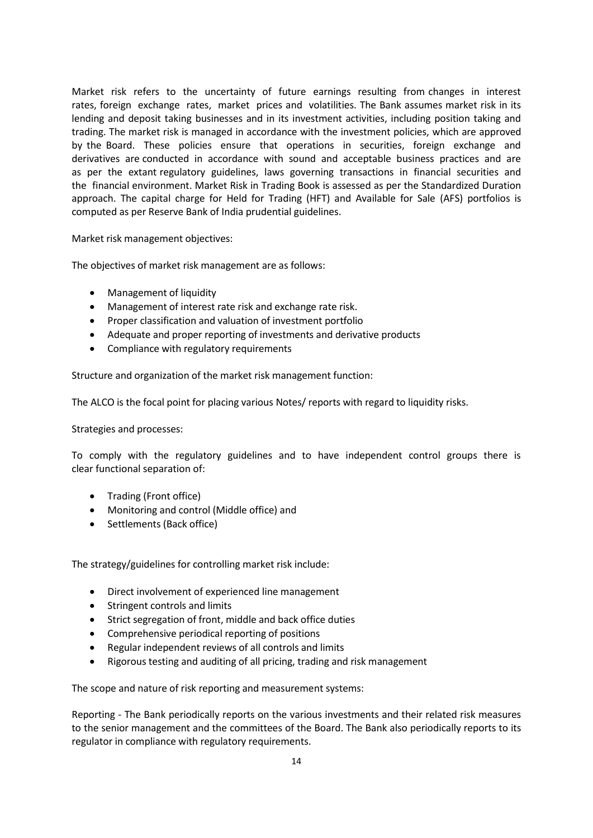Market risk refers to the uncertainty of future earnings resulting from changes in interest rates, foreign exchange rates, market prices and volatilities. The Bank assumes market risk in its lending and deposit taking businesses and in its investment activities, including position taking and trading. The market risk is managed in accordance with the investment policies, which are approved by the Board. These policies ensure that operations in securities, foreign exchange and derivatives are conducted in accordance with sound and acceptable business practices and are as per the extant regulatory guidelines, laws governing transactions in financial securities and the financial environment. Market Risk in Trading Book is assessed as per the Standardized Duration approach. The capital charge for Held for Trading (HFT) and Available for Sale (AFS) portfolios is computed as per Reserve Bank of India prudential guidelines.

Market risk management objectives:

The objectives of market risk management are as follows:

- Management of liquidity
- Management of interest rate risk and exchange rate risk.
- Proper classification and valuation of investment portfolio
- Adequate and proper reporting of investments and derivative products
- Compliance with regulatory requirements

Structure and organization of the market risk management function:

The ALCO is the focal point for placing various Notes/ reports with regard to liquidity risks.

Strategies and processes:

To comply with the regulatory guidelines and to have independent control groups there is clear functional separation of:

- Trading (Front office)
- Monitoring and control (Middle office) and
- Settlements (Back office)

The strategy/guidelines for controlling market risk include:

- Direct involvement of experienced line management
- Stringent controls and limits
- Strict segregation of front, middle and back office duties
- Comprehensive periodical reporting of positions
- Regular independent reviews of all controls and limits
- Rigorous testing and auditing of all pricing, trading and risk management

The scope and nature of risk reporting and measurement systems:

Reporting - The Bank periodically reports on the various investments and their related risk measures to the senior management and the committees of the Board. The Bank also periodically reports to its regulator in compliance with regulatory requirements.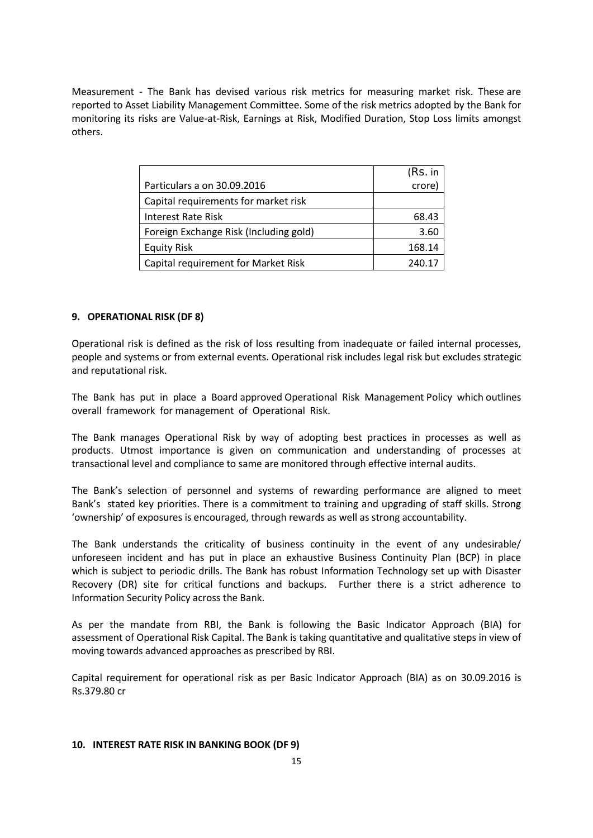Measurement - The Bank has devised various risk metrics for measuring market risk. These are reported to Asset Liability Management Committee. Some of the risk metrics adopted by the Bank for monitoring its risks are Value-at-Risk, Earnings at Risk, Modified Duration, Stop Loss limits amongst others.

|                                        | (Rs. in |
|----------------------------------------|---------|
| Particulars a on 30.09.2016            | crore)  |
| Capital requirements for market risk   |         |
| Interest Rate Risk                     | 68.43   |
| Foreign Exchange Risk (Including gold) | 3.60    |
| <b>Equity Risk</b>                     | 168.14  |
| Capital requirement for Market Risk    | 240.17  |

#### **9. OPERATIONAL RISK (DF 8)**

Operational risk is defined as the risk of loss resulting from inadequate or failed internal processes, people and systems or from external events. Operational risk includes legal risk but excludes strategic and reputational risk.

The Bank has put in place a Board approved Operational Risk Management Policy which outlines overall framework for management of Operational Risk.

The Bank manages Operational Risk by way of adopting best practices in processes as well as products. Utmost importance is given on communication and understanding of processes at transactional level and compliance to same are monitored through effective internal audits.

The Bank's selection of personnel and systems of rewarding performance are aligned to meet Bank's stated key priorities. There is a commitment to training and upgrading of staff skills. Strong 'ownership' of exposures is encouraged, through rewards as well as strong accountability.

The Bank understands the criticality of business continuity in the event of any undesirable/ unforeseen incident and has put in place an exhaustive Business Continuity Plan (BCP) in place which is subject to periodic drills. The Bank has robust Information Technology set up with Disaster Recovery (DR) site for critical functions and backups. Further there is a strict adherence to Information Security Policy across the Bank.

As per the mandate from RBI, the Bank is following the Basic Indicator Approach (BIA) for assessment of Operational Risk Capital. The Bank is taking quantitative and qualitative steps in view of moving towards advanced approaches as prescribed by RBI.

Capital requirement for operational risk as per Basic Indicator Approach (BIA) as on 30.09.2016 is Rs.379.80 cr

#### **10. INTEREST RATE RISK IN BANKING BOOK (DF 9)**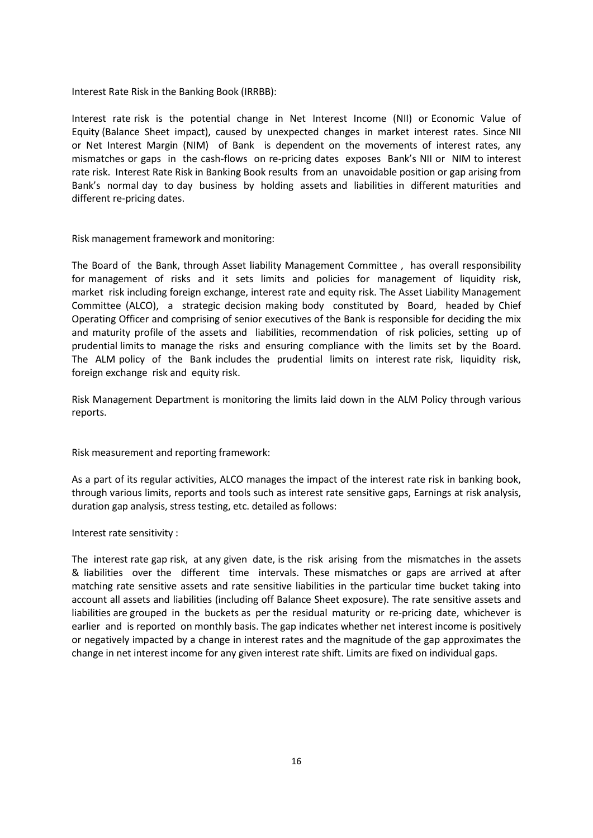Interest Rate Risk in the Banking Book (IRRBB):

Interest rate risk is the potential change in Net Interest Income (NII) or Economic Value of Equity (Balance Sheet impact), caused by unexpected changes in market interest rates. Since NII or Net Interest Margin (NIM) of Bank is dependent on the movements of interest rates, any mismatches or gaps in the cash-flows on re-pricing dates exposes Bank's NII or NIM to interest rate risk. Interest Rate Risk in Banking Book results from an unavoidable position or gap arising from Bank's normal day to day business by holding assets and liabilities in different maturities and different re-pricing dates.

Risk management framework and monitoring:

The Board of the Bank, through Asset liability Management Committee , has overall responsibility for management of risks and it sets limits and policies for management of liquidity risk, market risk including foreign exchange, interest rate and equity risk. The Asset Liability Management Committee (ALCO), a strategic decision making body constituted by Board, headed by Chief Operating Officer and comprising of senior executives of the Bank is responsible for deciding the mix and maturity profile of the assets and liabilities, recommendation of risk policies, setting up of prudential limits to manage the risks and ensuring compliance with the limits set by the Board. The ALM policy of the Bank includes the prudential limits on interest rate risk, liquidity risk, foreign exchange risk and equity risk.

Risk Management Department is monitoring the limits laid down in the ALM Policy through various reports.

Risk measurement and reporting framework:

As a part of its regular activities, ALCO manages the impact of the interest rate risk in banking book, through various limits, reports and tools such as interest rate sensitive gaps, Earnings at risk analysis, duration gap analysis, stress testing, etc. detailed as follows:

Interest rate sensitivity :

The interest rate gap risk, at any given date, is the risk arising from the mismatches in the assets & liabilities over the different time intervals. These mismatches or gaps are arrived at after matching rate sensitive assets and rate sensitive liabilities in the particular time bucket taking into account all assets and liabilities (including off Balance Sheet exposure). The rate sensitive assets and liabilities are grouped in the buckets as per the residual maturity or re-pricing date, whichever is earlier and is reported on monthly basis. The gap indicates whether net interest income is positively or negatively impacted by a change in interest rates and the magnitude of the gap approximates the change in net interest income for any given interest rate shift. Limits are fixed on individual gaps.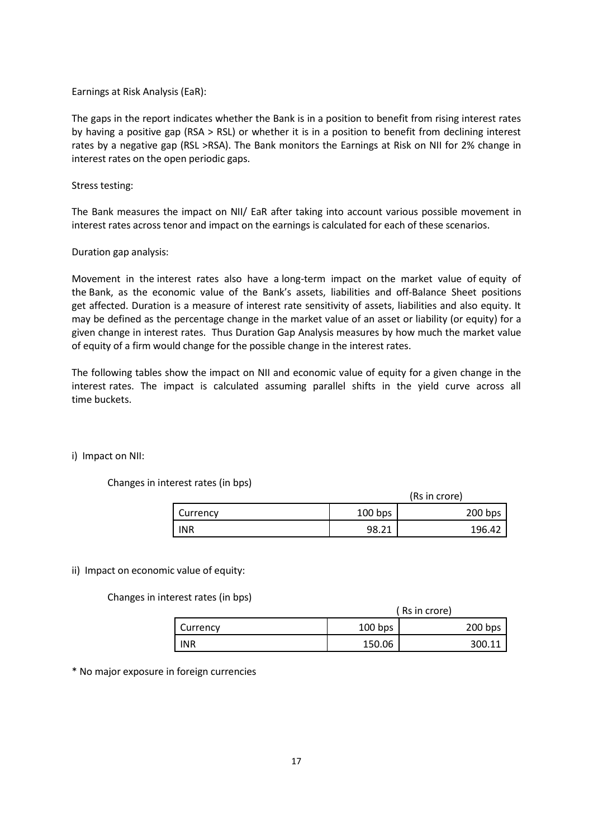#### Earnings at Risk Analysis (EaR):

The gaps in the report indicates whether the Bank is in a position to benefit from rising interest rates by having a positive gap (RSA > RSL) or whether it is in a position to benefit from declining interest rates by a negative gap (RSL >RSA). The Bank monitors the Earnings at Risk on NII for 2% change in interest rates on the open periodic gaps.

#### Stress testing:

The Bank measures the impact on NII/ EaR after taking into account various possible movement in interest rates across tenor and impact on the earnings is calculated for each of these scenarios.

#### Duration gap analysis:

Movement in the interest rates also have a long-term impact on the market value of equity of the Bank, as the economic value of the Bank's assets, liabilities and off-Balance Sheet positions get affected. Duration is a measure of interest rate sensitivity of assets, liabilities and also equity. It may be defined as the percentage change in the market value of an asset or liability (or equity) for a given change in interest rates. Thus Duration Gap Analysis measures by how much the market value of equity of a firm would change for the possible change in the interest rates.

The following tables show the impact on NII and economic value of equity for a given change in the interest rates. The impact is calculated assuming parallel shifts in the yield curve across all time buckets.

#### i) Impact on NII:

#### Changes in interest rates (in bps)

|            | (Rs in crore) |           |  |
|------------|---------------|-----------|--|
| Currency   | $100$ bps     | $200$ bps |  |
| <b>INR</b> | 98.21         | 196.42    |  |

#### ii) Impact on economic value of equity:

Changes in interest rates (in bps)

|            |          | (Rs in crore) |           |  |
|------------|----------|---------------|-----------|--|
|            | Currency | $100$ bps     | $200$ bps |  |
| <b>INR</b> |          | 150.06        | 300.11    |  |

\* No major exposure in foreign currencies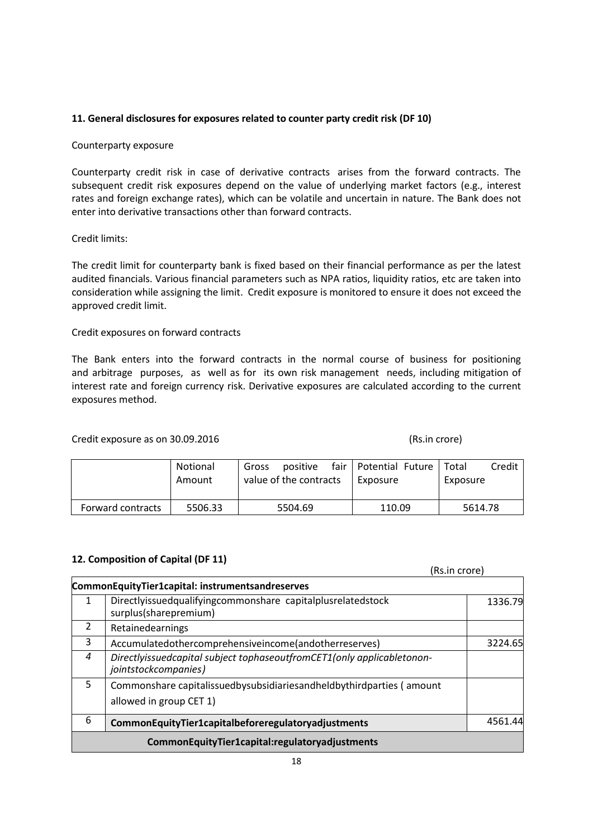## **11. General disclosures for exposures related to counter party credit risk (DF 10)**

#### Counterparty exposure

Counterparty credit risk in case of derivative contracts arises from the forward contracts. The subsequent credit risk exposures depend on the value of underlying market factors (e.g., interest rates and foreign exchange rates), which can be volatile and uncertain in nature. The Bank does not enter into derivative transactions other than forward contracts.

#### Credit limits:

The credit limit for counterparty bank is fixed based on their financial performance as per the latest audited financials. Various financial parameters such as NPA ratios, liquidity ratios, etc are taken into consideration while assigning the limit. Credit exposure is monitored to ensure it does not exceed the approved credit limit.

#### Credit exposures on forward contracts

The Bank enters into the forward contracts in the normal course of business for positioning and arbitrage purposes, as well as for its own risk management needs, including mitigation of interest rate and foreign currency risk. Derivative exposures are calculated according to the current exposures method.

#### Credit exposure as on 30.09.2016 (Rs.in crore)

|                   | Notional<br>Amount | positive<br>Gross<br>value of the contracts | fair   Potential Future  <br>Exposure | Credit<br>Total<br>Exposure |
|-------------------|--------------------|---------------------------------------------|---------------------------------------|-----------------------------|
|                   |                    |                                             |                                       |                             |
| Forward contracts | 5506.33            | 5504.69                                     | 110.09                                | 5614.78                     |

# **12. Composition of Capital (DF 11)**

# (Rs.in crore)

|   | CommonEquityTier1capital: instrumentsandreserves                                                |         |  |  |
|---|-------------------------------------------------------------------------------------------------|---------|--|--|
| 1 | Directlyissuedqualifyingcommonshare capitalplusrelatedstock<br>surplus(sharepremium)            | 1336.79 |  |  |
| 2 | Retainedearnings                                                                                |         |  |  |
| 3 | Accumulatedothercomprehensiveincome(andotherreserves)                                           | 3224.65 |  |  |
| 4 | Directlyissuedcapital subject tophaseoutfromCET1(only applicabletonon-<br>jointstockcompanies)  |         |  |  |
| 5 | Commonshare capitalissuedbysubsidiariesandheldbythirdparties (amount<br>allowed in group CET 1) |         |  |  |
| 6 | CommonEquityTier1capitalbeforeregulatoryadjustments                                             | 4561.44 |  |  |
|   | CommonEquityTier1capital:regulatoryadjustments                                                  |         |  |  |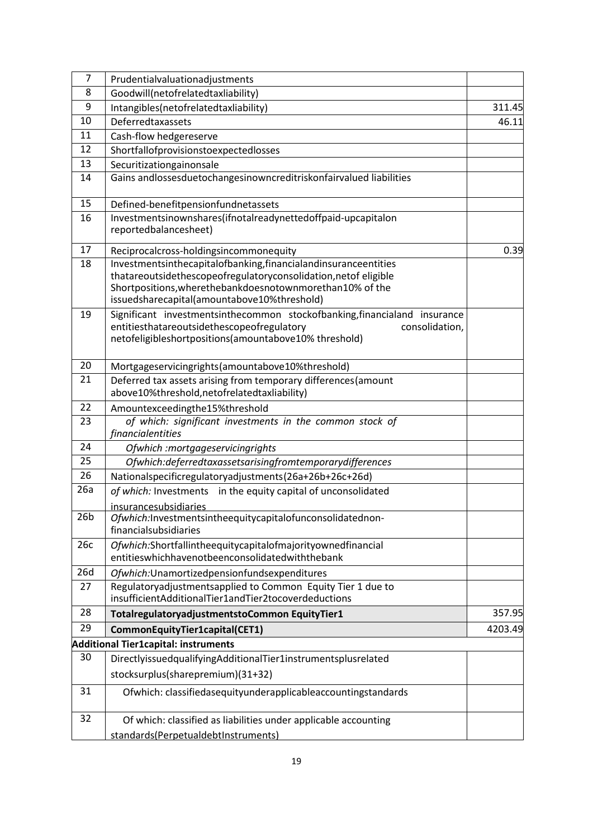| 7               | Prudentialvaluationadjustments                                                                                                                                                                                                                |         |
|-----------------|-----------------------------------------------------------------------------------------------------------------------------------------------------------------------------------------------------------------------------------------------|---------|
| 8               | Goodwill(netofrelatedtaxliability)                                                                                                                                                                                                            |         |
| 9               | Intangibles(netofrelatedtaxliability)                                                                                                                                                                                                         | 311.45  |
| 10              | Deferredtaxassets                                                                                                                                                                                                                             |         |
| 11              | Cash-flow hedgereserve                                                                                                                                                                                                                        |         |
| 12              | Shortfallofprovisionstoexpectedlosses                                                                                                                                                                                                         |         |
| 13              | Securitizationgainonsale                                                                                                                                                                                                                      |         |
| 14              | Gains andlossesduetochangesinowncreditriskonfairvalued liabilities                                                                                                                                                                            |         |
| 15              | Defined-benefitpensionfundnetassets                                                                                                                                                                                                           |         |
| 16              | Investmentsinownshares(ifnotalreadynettedoffpaid-upcapitalon<br>reportedbalancesheet)                                                                                                                                                         |         |
| 17              | Reciprocalcross-holdingsincommonequity                                                                                                                                                                                                        | 0.39    |
| 18              | Investmentsinthecapitalofbanking, financialandinsuranceentities<br>thatareoutsidethescopeofregulatoryconsolidation, netof eligible<br>Shortpositions, wherethebankdoesnotownmorethan10% of the<br>issuedsharecapital(amountabove10%threshold) |         |
| 19              | Significant investmentsinthecommon stockofbanking, financialand insurance<br>entitiesthatareoutsidethescopeofregulatory<br>consolidation,<br>netofeligibleshortpositions(amountabove10% threshold)                                            |         |
| 20              | Mortgageservicingrights (amountabove10%threshold)                                                                                                                                                                                             |         |
| 21              | Deferred tax assets arising from temporary differences (amount<br>above10%threshold, netofrelatedtaxliability)                                                                                                                                |         |
| 22              | Amountexceedingthe15%threshold                                                                                                                                                                                                                |         |
| 23              | of which: significant investments in the common stock of<br>financialentities                                                                                                                                                                 |         |
| 24              | Ofwhich :mortgageservicingrights                                                                                                                                                                                                              |         |
| 25              | Ofwhich:deferredtaxassetsarisingfromtemporarydifferences                                                                                                                                                                                      |         |
| 26              | Nationalspecificregulatoryadjustments(26a+26b+26c+26d)                                                                                                                                                                                        |         |
| 26a             | of which: Investments in the equity capital of unconsolidated<br><i>insurancesubsidiaries</i>                                                                                                                                                 |         |
| 26 <sub>b</sub> | Ofwhich:Investmentsintheequitycapitalofunconsolidatednon-<br>financialsubsidiaries                                                                                                                                                            |         |
| 26с             | Ofwhich:Shortfallintheequitycapitalofmajorityownedfinancial<br>entitieswhichhavenotbeenconsolidatedwiththebank                                                                                                                                |         |
| 26d             | Ofwhich: Unamortized pension funds expenditures                                                                                                                                                                                               |         |
| 27              | Regulatoryadjustmentsapplied to Common Equity Tier 1 due to<br>insufficientAdditionalTier1andTier2tocoverdeductions                                                                                                                           |         |
| 28              | TotalregulatoryadjustmentstoCommon EquityTier1                                                                                                                                                                                                | 357.95  |
| 29              | CommonEquityTier1capital(CET1)                                                                                                                                                                                                                | 4203.49 |
|                 | Additional Tier1capital: instruments                                                                                                                                                                                                          |         |
| 30              | DirectlyissuedqualifyingAdditionalTier1instrumentsplusrelated                                                                                                                                                                                 |         |
|                 | stocksurplus(sharepremium)(31+32)                                                                                                                                                                                                             |         |
| 31              | Ofwhich: classifiedasequityunderapplicableaccountingstandards                                                                                                                                                                                 |         |
| 32              | Of which: classified as liabilities under applicable accounting                                                                                                                                                                               |         |
|                 | standards(PerpetualdebtInstruments)                                                                                                                                                                                                           |         |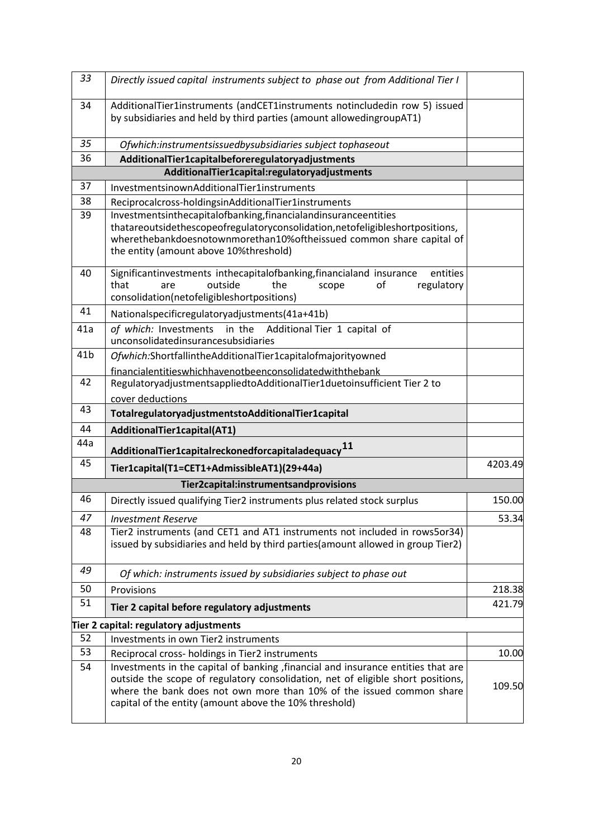| 33              | Directly issued capital instruments subject to phase out from Additional Tier I                                                                                                                                                                                                                       |         |
|-----------------|-------------------------------------------------------------------------------------------------------------------------------------------------------------------------------------------------------------------------------------------------------------------------------------------------------|---------|
| 34              | AdditionalTier1instruments (andCET1instruments notincludedin row 5) issued<br>by subsidiaries and held by third parties (amount allowedingroupAT1)                                                                                                                                                    |         |
| 35              | Ofwhich:instrumentsissuedbysubsidiaries subject tophaseout                                                                                                                                                                                                                                            |         |
| 36              | AdditionalTier1capitalbeforeregulatoryadjustments                                                                                                                                                                                                                                                     |         |
|                 | AdditionalTier1capital:regulatoryadjustments                                                                                                                                                                                                                                                          |         |
| 37              | InvestmentsinownAdditionalTier1instruments                                                                                                                                                                                                                                                            |         |
| 38              | Reciprocalcross-holdingsinAdditionalTier1instruments                                                                                                                                                                                                                                                  |         |
| 39              | Investmentsinthecapitalofbanking, financialandinsuranceentities<br>thatareoutsidethescopeofregulatoryconsolidation, netofeligibleshortpositions,<br>wherethebankdoesnotownmorethan10%oftheissued common share capital of<br>the entity (amount above 10%threshold)                                    |         |
| 40              | Significantinvestments inthecapitalofbanking, financialand insurance<br>entities<br>that<br>outside<br>the<br>of<br>regulatory<br>scope<br>are<br>consolidation(netofeligibleshortpositions)                                                                                                          |         |
| 41              | Nationalspecificregulatoryadjustments(41a+41b)                                                                                                                                                                                                                                                        |         |
| 41a             | of which: Investments<br>in the Additional Tier 1 capital of<br>unconsolidatedinsurancesubsidiaries                                                                                                                                                                                                   |         |
| 41 <sub>b</sub> | Ofwhich:ShortfallintheAdditionalTier1capitalofmajorityowned                                                                                                                                                                                                                                           |         |
|                 | financialentitieswhichhavenotbeenconsolidatedwiththebank                                                                                                                                                                                                                                              |         |
| 42              | RegulatoryadjustmentsappliedtoAdditionalTier1duetoinsufficient Tier 2 to                                                                                                                                                                                                                              |         |
|                 | cover deductions                                                                                                                                                                                                                                                                                      |         |
| 43              | TotalregulatoryadjustmentstoAdditionalTier1capital                                                                                                                                                                                                                                                    |         |
| 44              | AdditionalTier1capital(AT1)                                                                                                                                                                                                                                                                           |         |
| 44a             | Additional Tier1 capital reckoned for capital adequacy $^{11}$                                                                                                                                                                                                                                        |         |
| 45              | Tier1capital(T1=CET1+AdmissibleAT1)(29+44a)                                                                                                                                                                                                                                                           | 4203.49 |
|                 | Tier2capital:instrumentsandprovisions                                                                                                                                                                                                                                                                 |         |
| 46              | Directly issued qualifying Tier2 instruments plus related stock surplus                                                                                                                                                                                                                               | 150.00  |
| 47              | <b>Investment Reserve</b>                                                                                                                                                                                                                                                                             | 53.34   |
| 48              | Tier2 instruments (and CET1 and AT1 instruments not included in rows5or34)<br>issued by subsidiaries and held by third parties (amount allowed in group Tier2)                                                                                                                                        |         |
| 49              | Of which: instruments issued by subsidiaries subject to phase out                                                                                                                                                                                                                                     |         |
| 50              | Provisions                                                                                                                                                                                                                                                                                            | 218.38  |
| 51              | Tier 2 capital before regulatory adjustments                                                                                                                                                                                                                                                          | 421.79  |
|                 | Tier 2 capital: regulatory adjustments                                                                                                                                                                                                                                                                |         |
| 52              | Investments in own Tier2 instruments                                                                                                                                                                                                                                                                  |         |
| 53              | Reciprocal cross- holdings in Tier2 instruments                                                                                                                                                                                                                                                       | 10.00   |
| 54              | Investments in the capital of banking, financial and insurance entities that are<br>outside the scope of regulatory consolidation, net of eligible short positions,<br>where the bank does not own more than 10% of the issued common share<br>capital of the entity (amount above the 10% threshold) | 109.50  |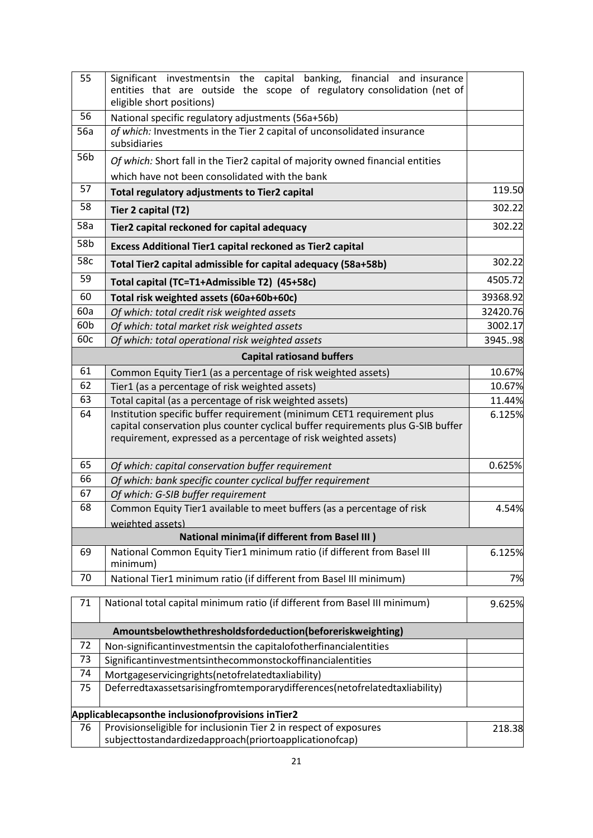| 55  | Significant investmentsin the capital banking, financial and insurance<br>entities that are outside the scope of regulatory consolidation (net of<br>eligible short positions)                                                |          |
|-----|-------------------------------------------------------------------------------------------------------------------------------------------------------------------------------------------------------------------------------|----------|
| 56  | National specific regulatory adjustments (56a+56b)                                                                                                                                                                            |          |
| 56a | of which: Investments in the Tier 2 capital of unconsolidated insurance<br>subsidiaries                                                                                                                                       |          |
| 56b | Of which: Short fall in the Tier2 capital of majority owned financial entities<br>which have not been consolidated with the bank                                                                                              |          |
| 57  |                                                                                                                                                                                                                               | 119.50   |
|     | Total regulatory adjustments to Tier2 capital                                                                                                                                                                                 | 302.22   |
| 58  | Tier 2 capital (T2)                                                                                                                                                                                                           |          |
| 58a | Tier2 capital reckoned for capital adequacy                                                                                                                                                                                   |          |
| 58b | Excess Additional Tier1 capital reckoned as Tier2 capital                                                                                                                                                                     |          |
| 58c | Total Tier2 capital admissible for capital adequacy (58a+58b)                                                                                                                                                                 | 302.22   |
| 59  | Total capital (TC=T1+Admissible T2) (45+58c)                                                                                                                                                                                  | 4505.72  |
| 60  | Total risk weighted assets (60a+60b+60c)                                                                                                                                                                                      | 39368.92 |
| 60a | Of which: total credit risk weighted assets                                                                                                                                                                                   | 32420.76 |
| 60b | Of which: total market risk weighted assets                                                                                                                                                                                   | 3002.17  |
| 60c | Of which: total operational risk weighted assets                                                                                                                                                                              |          |
|     | <b>Capital ratiosand buffers</b>                                                                                                                                                                                              |          |
| 61  | Common Equity Tier1 (as a percentage of risk weighted assets)                                                                                                                                                                 |          |
| 62  | Tier1 (as a percentage of risk weighted assets)                                                                                                                                                                               |          |
| 63  | Total capital (as a percentage of risk weighted assets)                                                                                                                                                                       |          |
| 64  | Institution specific buffer requirement (minimum CET1 requirement plus<br>capital conservation plus counter cyclical buffer requirements plus G-SIB buffer<br>requirement, expressed as a percentage of risk weighted assets) |          |
| 65  | Of which: capital conservation buffer requirement                                                                                                                                                                             | 0.625%   |
| 66  | Of which: bank specific counter cyclical buffer requirement                                                                                                                                                                   |          |
| 67  | Of which: G-SIB buffer requirement                                                                                                                                                                                            |          |
| 68  | Common Equity Tier1 available to meet buffers (as a percentage of risk                                                                                                                                                        | 4.54%    |
|     | weighted assets)                                                                                                                                                                                                              |          |
|     | <b>National minima(if different from Basel III)</b>                                                                                                                                                                           |          |
| 69  | National Common Equity Tier1 minimum ratio (if different from Basel III<br>minimum)                                                                                                                                           | 6.125%   |
| 70  | National Tier1 minimum ratio (if different from Basel III minimum)                                                                                                                                                            | 7%       |
| 71  | National total capital minimum ratio (if different from Basel III minimum)                                                                                                                                                    | 9.625%   |
|     | Amountsbelowthethresholdsfordeduction(beforeriskweighting)                                                                                                                                                                    |          |
| 72  | Non-significantinvestmentsin the capitalofotherfinancialentities                                                                                                                                                              |          |
| 73  | Significantinvestmentsinthecommonstockoffinancialentities                                                                                                                                                                     |          |
| 74  | Mortgageservicingrights(netofrelatedtaxliability)                                                                                                                                                                             |          |
| 75  | Deferredtaxassetsarisingfromtemporarydifferences(netofrelatedtaxliability)                                                                                                                                                    |          |
|     | Applicablecapsonthe inclusionofprovisions inTier2                                                                                                                                                                             |          |
| 76  | Provisionseligible for inclusionin Tier 2 in respect of exposures<br>subjecttostandardizedapproach(priortoapplicationofcap)                                                                                                   | 218.38   |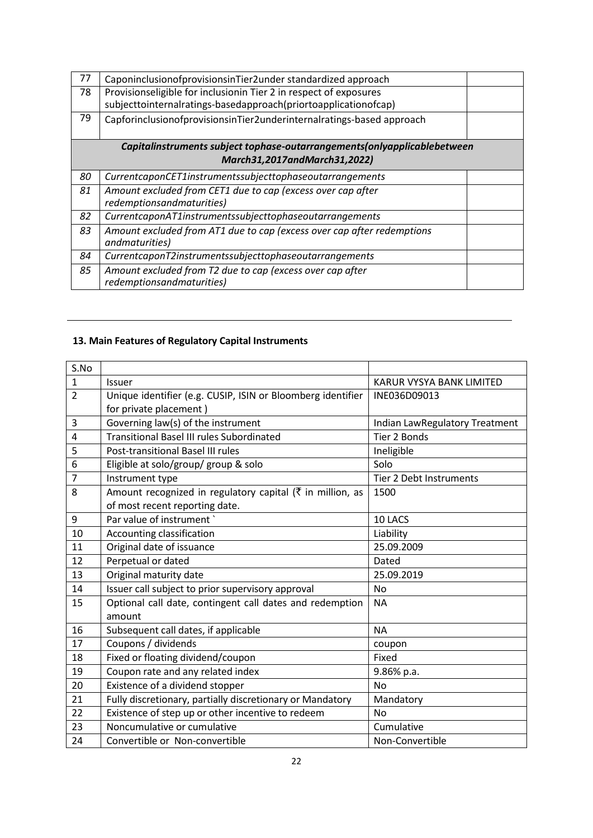| 77 | CaponinclusionofprovisionsinTier2under standardized approach                                                                         |  |  |
|----|--------------------------------------------------------------------------------------------------------------------------------------|--|--|
| 78 | Provisionseligible for inclusionin Tier 2 in respect of exposures<br>subjecttointernalratings-basedapproach(priortoapplicationofcap) |  |  |
| 79 | CapforinclusionofprovisionsinTier2underinternalratings-based approach                                                                |  |  |
|    | Capitalinstruments subject tophase-outarrangements(onlyapplicablebetween                                                             |  |  |
|    | March31,2017andMarch31,2022)                                                                                                         |  |  |
| 80 | CurrentcaponCET1instrumentssubjecttophaseoutarrangements                                                                             |  |  |
| 81 | Amount excluded from CET1 due to cap (excess over cap after<br>redemptionsandmaturities)                                             |  |  |
| 82 | CurrentcaponAT1instrumentssubjecttophaseoutarrangements                                                                              |  |  |
| 83 | Amount excluded from AT1 due to cap (excess over cap after redemptions<br>andmaturities)                                             |  |  |
| 84 | CurrentcaponT2instrumentssubjecttophaseoutarrangements                                                                               |  |  |
| 85 | Amount excluded from T2 due to cap (excess over cap after<br>redemptionsandmaturities)                                               |  |  |

# **13. Main Features of Regulatory Capital Instruments**

| S.No           |                                                                       |                                |
|----------------|-----------------------------------------------------------------------|--------------------------------|
| $\mathbf{1}$   | <b>Issuer</b>                                                         | KARUR VYSYA BANK LIMITED       |
| $\overline{2}$ | Unique identifier (e.g. CUSIP, ISIN or Bloomberg identifier           | INE036D09013                   |
|                | for private placement)                                                |                                |
| 3              | Governing law(s) of the instrument                                    | Indian LawRegulatory Treatment |
| 4              | <b>Transitional Basel III rules Subordinated</b>                      | Tier 2 Bonds                   |
| 5              | Post-transitional Basel III rules                                     | Ineligible                     |
| 6              | Eligible at solo/group/ group & solo                                  | Solo                           |
| $\overline{7}$ | Instrument type                                                       | Tier 2 Debt Instruments        |
| 8              | Amount recognized in regulatory capital ( $\bar{\tau}$ in million, as | 1500                           |
|                | of most recent reporting date.                                        |                                |
| 9              | Par value of instrument `                                             | 10 LACS                        |
| 10             | Accounting classification                                             | Liability                      |
| 11             | Original date of issuance                                             | 25.09.2009                     |
| 12             | Perpetual or dated                                                    | Dated                          |
| 13             | Original maturity date                                                | 25.09.2019                     |
| 14             | Issuer call subject to prior supervisory approval                     | <b>No</b>                      |
| 15             | Optional call date, contingent call dates and redemption              | <b>NA</b>                      |
|                | amount                                                                |                                |
| 16             | Subsequent call dates, if applicable                                  | <b>NA</b>                      |
| 17             | Coupons / dividends                                                   | coupon                         |
| 18             | Fixed or floating dividend/coupon                                     | Fixed                          |
| 19             | Coupon rate and any related index                                     | 9.86% p.a.                     |
| 20             | Existence of a dividend stopper                                       | <b>No</b>                      |
| 21             | Fully discretionary, partially discretionary or Mandatory             | Mandatory                      |
| 22             | Existence of step up or other incentive to redeem                     | <b>No</b>                      |
| 23             | Noncumulative or cumulative                                           | Cumulative                     |
| 24             | Convertible or Non-convertible                                        | Non-Convertible                |
|                |                                                                       |                                |